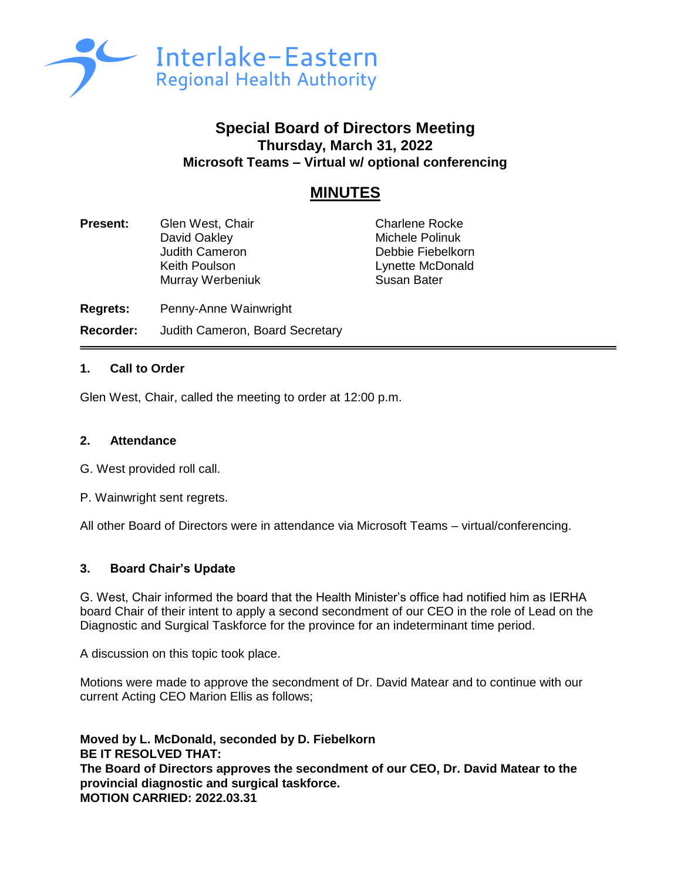

# **Special Board of Directors Meeting Thursday, March 31, 2022 Microsoft Teams – Virtual w/ optional conferencing**

# **MINUTES**

**Present:** Glen West, Chair **Charlene Rocke** David Oakley **Michele Polinuk**<br> **Debbie Fiebelko**<br>
Undith Cameron **Michele Polinuk** Keith Poulson **Lynette McDonald** Murray Werbeniuk **Susan Bater** 

Debbie Fiebelkorn

**Regrets:** Penny-Anne Wainwright

**Recorder:** Judith Cameron, Board Secretary

# **1. Call to Order**

Glen West, Chair, called the meeting to order at 12:00 p.m.

#### **2. Attendance**

- G. West provided roll call.
- P. Wainwright sent regrets.

All other Board of Directors were in attendance via Microsoft Teams – virtual/conferencing.

# **3. Board Chair's Update**

G. West, Chair informed the board that the Health Minister's office had notified him as IERHA board Chair of their intent to apply a second secondment of our CEO in the role of Lead on the Diagnostic and Surgical Taskforce for the province for an indeterminant time period.

A discussion on this topic took place.

Motions were made to approve the secondment of Dr. David Matear and to continue with our current Acting CEO Marion Ellis as follows;

**Moved by L. McDonald, seconded by D. Fiebelkorn BE IT RESOLVED THAT: The Board of Directors approves the secondment of our CEO, Dr. David Matear to the provincial diagnostic and surgical taskforce. MOTION CARRIED: 2022.03.31**